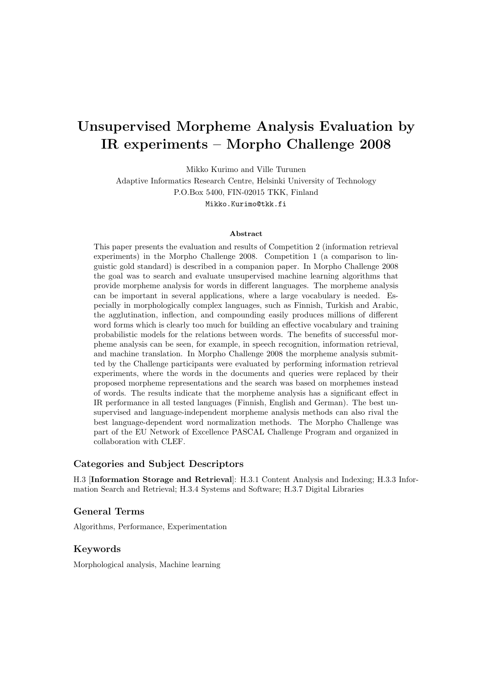# Unsupervised Morpheme Analysis Evaluation by IR experiments – Morpho Challenge 2008

Mikko Kurimo and Ville Turunen

Adaptive Informatics Research Centre, Helsinki University of Technology P.O.Box 5400, FIN-02015 TKK, Finland

Mikko.Kurimo@tkk.fi

#### Abstract

This paper presents the evaluation and results of Competition 2 (information retrieval experiments) in the Morpho Challenge 2008. Competition 1 (a comparison to linguistic gold standard) is described in a companion paper. In Morpho Challenge 2008 the goal was to search and evaluate unsupervised machine learning algorithms that provide morpheme analysis for words in different languages. The morpheme analysis can be important in several applications, where a large vocabulary is needed. Especially in morphologically complex languages, such as Finnish, Turkish and Arabic, the agglutination, inflection, and compounding easily produces millions of different word forms which is clearly too much for building an effective vocabulary and training probabilistic models for the relations between words. The benefits of successful morpheme analysis can be seen, for example, in speech recognition, information retrieval, and machine translation. In Morpho Challenge 2008 the morpheme analysis submitted by the Challenge participants were evaluated by performing information retrieval experiments, where the words in the documents and queries were replaced by their proposed morpheme representations and the search was based on morphemes instead of words. The results indicate that the morpheme analysis has a significant effect in IR performance in all tested languages (Finnish, English and German). The best unsupervised and language-independent morpheme analysis methods can also rival the best language-dependent word normalization methods. The Morpho Challenge was part of the EU Network of Excellence PASCAL Challenge Program and organized in collaboration with CLEF.

#### Categories and Subject Descriptors

H.3 [Information Storage and Retrieval]: H.3.1 Content Analysis and Indexing; H.3.3 Information Search and Retrieval; H.3.4 Systems and Software; H.3.7 Digital Libraries

#### General Terms

Algorithms, Performance, Experimentation

#### Keywords

Morphological analysis, Machine learning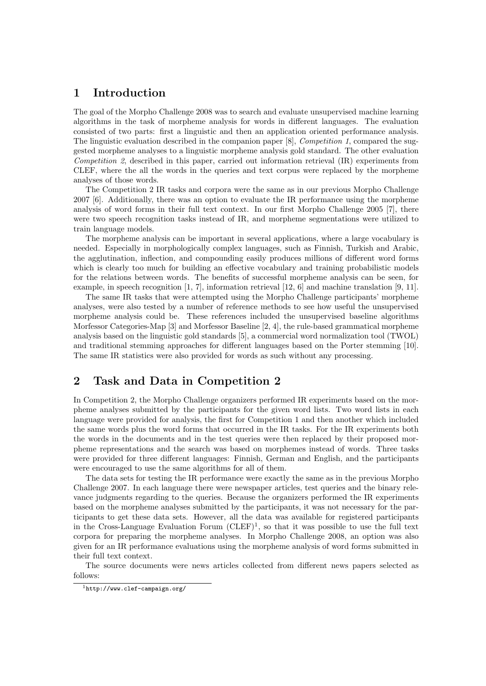### 1 Introduction

The goal of the Morpho Challenge 2008 was to search and evaluate unsupervised machine learning algorithms in the task of morpheme analysis for words in different languages. The evaluation consisted of two parts: first a linguistic and then an application oriented performance analysis. The linguistic evaluation described in the companion paper [8], Competition 1, compared the suggested morpheme analyses to a linguistic morpheme analysis gold standard. The other evaluation Competition 2, described in this paper, carried out information retrieval (IR) experiments from CLEF, where the all the words in the queries and text corpus were replaced by the morpheme analyses of those words.

The Competition 2 IR tasks and corpora were the same as in our previous Morpho Challenge 2007 [6]. Additionally, there was an option to evaluate the IR performance using the morpheme analysis of word forms in their full text context. In our first Morpho Challenge 2005 [7], there were two speech recognition tasks instead of IR, and morpheme segmentations were utilized to train language models.

The morpheme analysis can be important in several applications, where a large vocabulary is needed. Especially in morphologically complex languages, such as Finnish, Turkish and Arabic, the agglutination, inflection, and compounding easily produces millions of different word forms which is clearly too much for building an effective vocabulary and training probabilistic models for the relations between words. The benefits of successful morpheme analysis can be seen, for example, in speech recognition [1, 7], information retrieval [12, 6] and machine translation [9, 11].

The same IR tasks that were attempted using the Morpho Challenge participants' morpheme analyses, were also tested by a number of reference methods to see how useful the unsupervised morpheme analysis could be. These references included the unsupervised baseline algorithms Morfessor Categories-Map [3] and Morfessor Baseline [2, 4], the rule-based grammatical morpheme analysis based on the linguistic gold standards [5], a commercial word normalization tool (TWOL) and traditional stemming approaches for different languages based on the Porter stemming [10]. The same IR statistics were also provided for words as such without any processing.

# 2 Task and Data in Competition 2

In Competition 2, the Morpho Challenge organizers performed IR experiments based on the morpheme analyses submitted by the participants for the given word lists. Two word lists in each language were provided for analysis, the first for Competition 1 and then another which included the same words plus the word forms that occurred in the IR tasks. For the IR experiments both the words in the documents and in the test queries were then replaced by their proposed morpheme representations and the search was based on morphemes instead of words. Three tasks were provided for three different languages: Finnish, German and English, and the participants were encouraged to use the same algorithms for all of them.

The data sets for testing the IR performance were exactly the same as in the previous Morpho Challenge 2007. In each language there were newspaper articles, test queries and the binary relevance judgments regarding to the queries. Because the organizers performed the IR experiments based on the morpheme analyses submitted by the participants, it was not necessary for the participants to get these data sets. However, all the data was available for registered participants in the Cross-Language Evaluation Forum  $(CDEF)^1$ , so that it was possible to use the full text corpora for preparing the morpheme analyses. In Morpho Challenge 2008, an option was also given for an IR performance evaluations using the morpheme analysis of word forms submitted in their full text context.

The source documents were news articles collected from different news papers selected as follows:

<sup>1</sup>http://www.clef-campaign.org/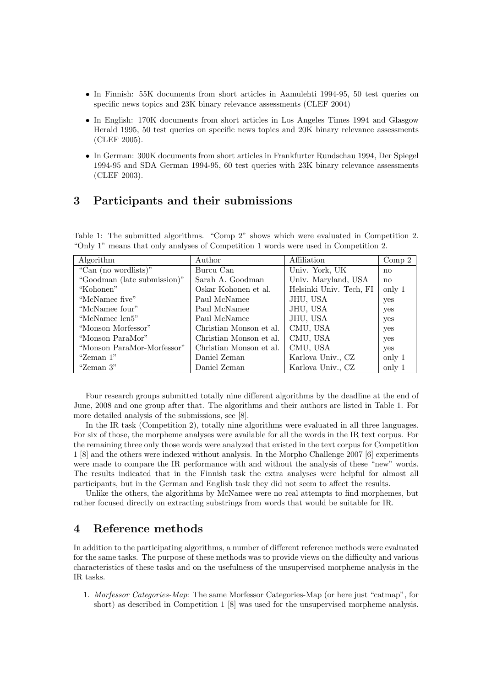- In Finnish: 55K documents from short articles in Aamulehti 1994-95, 50 test queries on specific news topics and 23K binary relevance assessments (CLEF 2004)
- In English: 170K documents from short articles in Los Angeles Times 1994 and Glasgow Herald 1995, 50 test queries on specific news topics and 20K binary relevance assessments (CLEF 2005).
- In German: 300K documents from short articles in Frankfurter Rundschau 1994, Der Spiegel 1994-95 and SDA German 1994-95, 60 test queries with 23K binary relevance assessments (CLEF 2003).

#### 3 Participants and their submissions

| Algorithm                   | Author                  | Affiliation             | Comp <sub>2</sub>      |
|-----------------------------|-------------------------|-------------------------|------------------------|
| "Can (no wordlists)"        | Burcu Can               | Univ. York, UK          | $\mathbf{n}\mathbf{o}$ |
| "Goodman (late submission)" | Sarah A. Goodman        | Univ. Maryland, USA     | $\mathbf{n}\mathbf{o}$ |
| "Kohonen"                   | Oskar Kohonen et al.    | Helsinki Univ. Tech, FI | only 1                 |
| "McNamee five"              | Paul McNamee            | JHU, USA                | yes                    |
| "McNamee four"              | Paul McNamee            | JHU, USA                | yes                    |
| "McNamee lcn5"              | Paul McNamee            | JHU, USA                | yes                    |
| "Monson Morfessor"          | Christian Monson et al. | CMU, USA                | yes                    |
| "Monson ParaMor"            | Christian Monson et al. | CMU, USA                | yes                    |
| "Monson ParaMor-Morfessor"  | Christian Monson et al. | CMU, USA                | yes                    |
| "Zeman 1"                   | Daniel Zeman            | Karlova Univ., CZ       | only 1                 |
| "Zeman 3"                   | Daniel Zeman            | Karlova Univ., CZ       | only 1                 |

Table 1: The submitted algorithms. "Comp 2" shows which were evaluated in Competition 2. "Only 1" means that only analyses of Competition 1 words were used in Competition 2.

Four research groups submitted totally nine different algorithms by the deadline at the end of June, 2008 and one group after that. The algorithms and their authors are listed in Table 1. For more detailed analysis of the submissions, see [8].

In the IR task (Competition 2), totally nine algorithms were evaluated in all three languages. For six of those, the morpheme analyses were available for all the words in the IR text corpus. For the remaining three only those words were analyzed that existed in the text corpus for Competition 1 [8] and the others were indexed without analysis. In the Morpho Challenge 2007 [6] experiments were made to compare the IR performance with and without the analysis of these "new" words. The results indicated that in the Finnish task the extra analyses were helpful for almost all participants, but in the German and English task they did not seem to affect the results.

Unlike the others, the algorithms by McNamee were no real attempts to find morphemes, but rather focused directly on extracting substrings from words that would be suitable for IR.

## 4 Reference methods

In addition to the participating algorithms, a number of different reference methods were evaluated for the same tasks. The purpose of these methods was to provide views on the difficulty and various characteristics of these tasks and on the usefulness of the unsupervised morpheme analysis in the IR tasks.

1. Morfessor Categories-Map: The same Morfessor Categories-Map (or here just "catmap", for short) as described in Competition 1 [8] was used for the unsupervised morpheme analysis.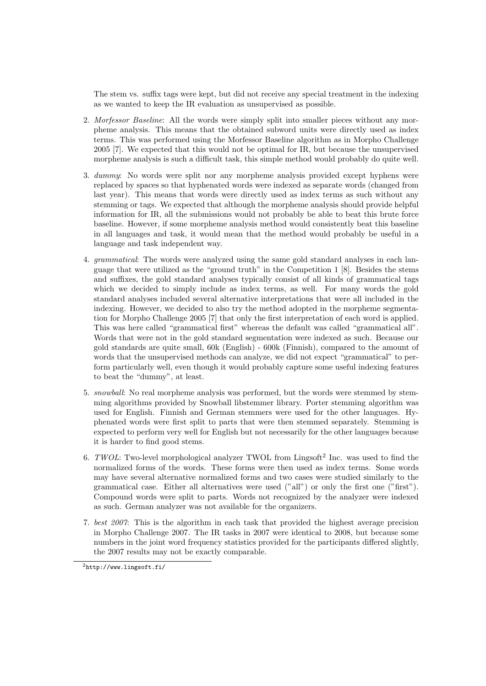The stem vs. suffix tags were kept, but did not receive any special treatment in the indexing as we wanted to keep the IR evaluation as unsupervised as possible.

- 2. Morfessor Baseline: All the words were simply split into smaller pieces without any morpheme analysis. This means that the obtained subword units were directly used as index terms. This was performed using the Morfessor Baseline algorithm as in Morpho Challenge 2005 [7]. We expected that this would not be optimal for IR, but because the unsupervised morpheme analysis is such a difficult task, this simple method would probably do quite well.
- 3. dummy: No words were split nor any morpheme analysis provided except hyphens were replaced by spaces so that hyphenated words were indexed as separate words (changed from last year). This means that words were directly used as index terms as such without any stemming or tags. We expected that although the morpheme analysis should provide helpful information for IR, all the submissions would not probably be able to beat this brute force baseline. However, if some morpheme analysis method would consistently beat this baseline in all languages and task, it would mean that the method would probably be useful in a language and task independent way.
- 4. grammatical: The words were analyzed using the same gold standard analyses in each language that were utilized as the "ground truth" in the Competition 1 [8]. Besides the stems and suffixes, the gold standard analyses typically consist of all kinds of grammatical tags which we decided to simply include as index terms, as well. For many words the gold standard analyses included several alternative interpretations that were all included in the indexing. However, we decided to also try the method adopted in the morpheme segmentation for Morpho Challenge 2005 [7] that only the first interpretation of each word is applied. This was here called "grammatical first" whereas the default was called "grammatical all". Words that were not in the gold standard segmentation were indexed as such. Because our gold standards are quite small, 60k (English) - 600k (Finnish), compared to the amount of words that the unsupervised methods can analyze, we did not expect "grammatical" to perform particularly well, even though it would probably capture some useful indexing features to beat the "dummy", at least.
- 5. snowball: No real morpheme analysis was performed, but the words were stemmed by stemming algorithms provided by Snowball libstemmer library. Porter stemming algorithm was used for English. Finnish and German stemmers were used for the other languages. Hyphenated words were first split to parts that were then stemmed separately. Stemming is expected to perform very well for English but not necessarily for the other languages because it is harder to find good stems.
- 6. TWOL: Two-level morphological analyzer TWOL from Lingsoft<sup>2</sup> Inc. was used to find the normalized forms of the words. These forms were then used as index terms. Some words may have several alternative normalized forms and two cases were studied similarly to the grammatical case. Either all alternatives were used ("all") or only the first one ("first"). Compound words were split to parts. Words not recognized by the analyzer were indexed as such. German analyzer was not available for the organizers.
- 7. best 2007: This is the algorithm in each task that provided the highest average precision in Morpho Challenge 2007. The IR tasks in 2007 were identical to 2008, but because some numbers in the joint word frequency statistics provided for the participants differed slightly, the 2007 results may not be exactly comparable.

 $^{2}$ http://www.lingsoft.fi/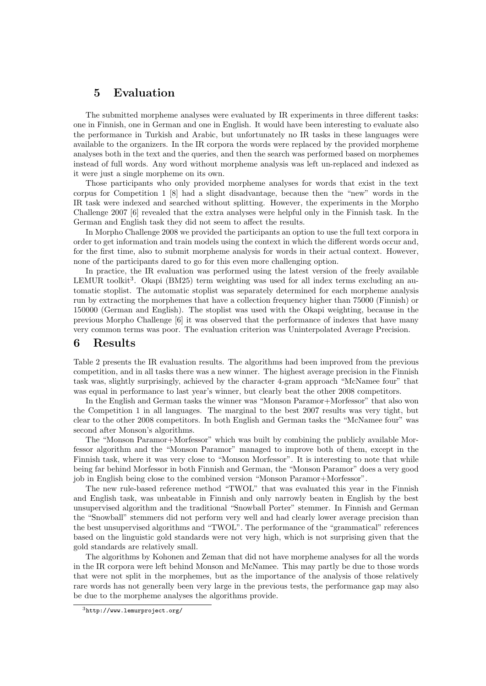## 5 Evaluation

The submitted morpheme analyses were evaluated by IR experiments in three different tasks: one in Finnish, one in German and one in English. It would have been interesting to evaluate also the performance in Turkish and Arabic, but unfortunately no IR tasks in these languages were available to the organizers. In the IR corpora the words were replaced by the provided morpheme analyses both in the text and the queries, and then the search was performed based on morphemes instead of full words. Any word without morpheme analysis was left un-replaced and indexed as it were just a single morpheme on its own.

Those participants who only provided morpheme analyses for words that exist in the text corpus for Competition 1 [8] had a slight disadvantage, because then the "new" words in the IR task were indexed and searched without splitting. However, the experiments in the Morpho Challenge 2007 [6] revealed that the extra analyses were helpful only in the Finnish task. In the German and English task they did not seem to affect the results.

In Morpho Challenge 2008 we provided the participants an option to use the full text corpora in order to get information and train models using the context in which the different words occur and, for the first time, also to submit morpheme analysis for words in their actual context. However, none of the participants dared to go for this even more challenging option.

In practice, the IR evaluation was performed using the latest version of the freely available LEMUR toolkit<sup>3</sup>. Okapi (BM25) term weighting was used for all index terms excluding an automatic stoplist. The automatic stoplist was separately determined for each morpheme analysis run by extracting the morphemes that have a collection frequency higher than 75000 (Finnish) or 150000 (German and English). The stoplist was used with the Okapi weighting, because in the previous Morpho Challenge [6] it was observed that the performance of indexes that have many very common terms was poor. The evaluation criterion was Uninterpolated Average Precision.

#### 6 Results

Table 2 presents the IR evaluation results. The algorithms had been improved from the previous competition, and in all tasks there was a new winner. The highest average precision in the Finnish task was, slightly surprisingly, achieved by the character 4-gram approach "McNamee four" that was equal in performance to last year's winner, but clearly beat the other 2008 competitors.

In the English and German tasks the winner was "Monson Paramor+Morfessor" that also won the Competition 1 in all languages. The marginal to the best 2007 results was very tight, but clear to the other 2008 competitors. In both English and German tasks the "McNamee four" was second after Monson's algorithms.

The "Monson Paramor+Morfessor" which was built by combining the publicly available Morfessor algorithm and the "Monson Paramor" managed to improve both of them, except in the Finnish task, where it was very close to "Monson Morfessor". It is interesting to note that while being far behind Morfessor in both Finnish and German, the "Monson Paramor" does a very good job in English being close to the combined version "Monson Paramor+Morfessor".

The new rule-based reference method "TWOL" that was evaluated this year in the Finnish and English task, was unbeatable in Finnish and only narrowly beaten in English by the best unsupervised algorithm and the traditional "Snowball Porter" stemmer. In Finnish and German the "Snowball" stemmers did not perform very well and had clearly lower average precision than the best unsupervised algorithms and "TWOL". The performance of the "grammatical" references based on the linguistic gold standards were not very high, which is not surprising given that the gold standards are relatively small.

The algorithms by Kohonen and Zeman that did not have morpheme analyses for all the words in the IR corpora were left behind Monson and McNamee. This may partly be due to those words that were not split in the morphemes, but as the importance of the analysis of those relatively rare words has not generally been very large in the previous tests, the performance gap may also be due to the morpheme analyses the algorithms provide.

<sup>3</sup>http://www.lemurproject.org/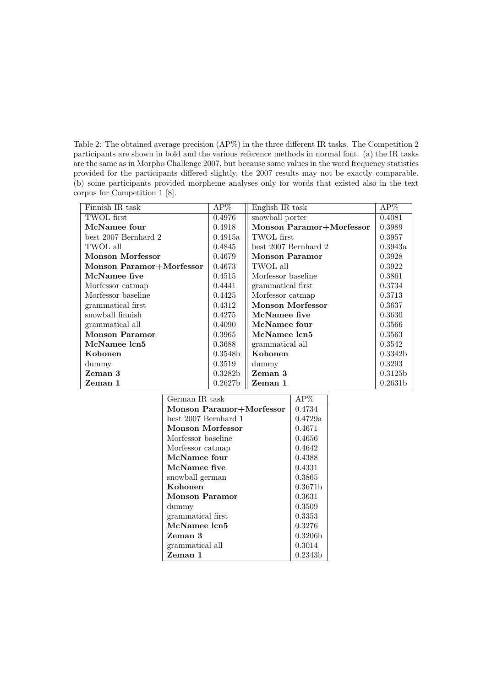Table 2: The obtained average precision (AP%) in the three different IR tasks. The Competition 2 participants are shown in bold and the various reference methods in normal font. (a) the IR tasks are the same as in Morpho Challenge 2007, but because some values in the word frequency statistics provided for the participants differed slightly, the 2007 results may not be exactly comparable. (b) some participants provided morpheme analyses only for words that existed also in the text corpus for Competition 1 [8].

| Finnish IR task          | $AP\%$              | English IR task          | $AP\%$              |
|--------------------------|---------------------|--------------------------|---------------------|
| TWOL first               | 0.4976              | snowball porter          | 0.4081              |
| McNamee four             | 0.4918              | Monson Paramor+Morfessor | 0.3989              |
| best 2007 Bernhard 2     | 0.4915a             | TWOL first               | 0.3957              |
| TWOL all                 | 0.4845              | best 2007 Bernhard 2     | 0.3943a             |
| Monson Morfessor         | 0.4679              | <b>Monson Paramor</b>    | 0.3928              |
| Monson Paramor+Morfessor | 0.4673              | TWOL all                 | 0.3922              |
| McNamee five             | 0.4515              | Morfessor baseline       | 0.3861              |
| Morfessor catmap         | 0.4441              | grammatical first        | 0.3734              |
| Morfessor baseline       | 0.4425              | Morfessor catmap         | 0.3713              |
| grammatical first        | 0.4312              | Monson Morfessor         | 0.3637              |
| snowball finnish         | 0.4275              | McNamee five             | 0.3630              |
| grammatical all          | 0.4090              | McNamee four             | 0.3566              |
| <b>Monson Paramor</b>    | 0.3965              | McNamee lcn5             | 0.3563              |
| McNamee lcn5             | 0.3688              | grammatical all          | 0.3542              |
| Kohonen                  | 0.3548 <sub>b</sub> | Kohonen                  | 0.3342b             |
| dummy                    | 0.3519              | dummy                    | 0.3293              |
| Zeman 3                  | 0.3282 <sub>b</sub> | Zeman 3                  | 0.3125 <sub>b</sub> |
| Zeman 1                  | 0.2627 <sub>b</sub> | Zeman 1                  | 0.2631 <sub>b</sub> |

| German IR task                  | $AP\%$              |
|---------------------------------|---------------------|
| <b>Monson Paramor+Morfessor</b> | 0.4734              |
| best 2007 Bernhard 1            | 0.4729a             |
| Monson Morfessor                | 0.4671              |
| Morfessor baseline              | 0.4656              |
| Morfessor catmap                | 0.4642              |
| McNamee four                    | 0.4388              |
| McNamee five                    | 0.4331              |
| snowball german                 | 0.3865              |
| Kohonen                         | 0.3671 <sub>b</sub> |
| Monson Paramor                  | 0.3631              |
| dummy                           | 0.3509              |
| grammatical first               | 0.3353              |
| McNamee lcn5                    | 0.3276              |
| Zeman 3                         | 0.3206 <sub>b</sub> |
| grammatical all                 | 0.3014              |
| Zeman 1                         | 0.2343b             |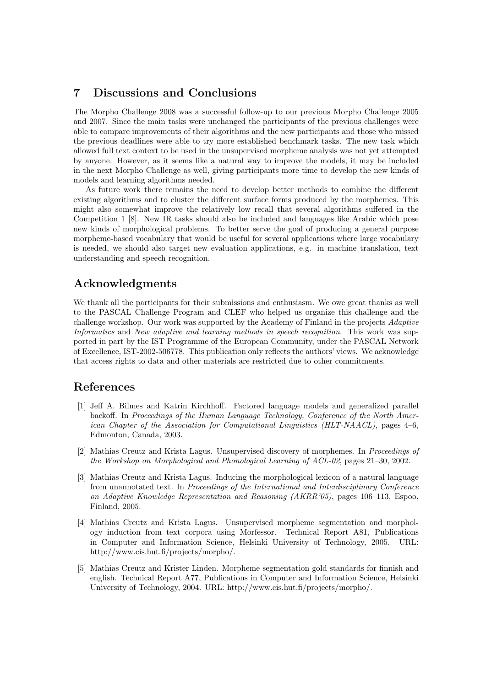## 7 Discussions and Conclusions

The Morpho Challenge 2008 was a successful follow-up to our previous Morpho Challenge 2005 and 2007. Since the main tasks were unchanged the participants of the previous challenges were able to compare improvements of their algorithms and the new participants and those who missed the previous deadlines were able to try more established benchmark tasks. The new task which allowed full text context to be used in the unsupervised morpheme analysis was not yet attempted by anyone. However, as it seems like a natural way to improve the models, it may be included in the next Morpho Challenge as well, giving participants more time to develop the new kinds of models and learning algorithms needed.

As future work there remains the need to develop better methods to combine the different existing algorithms and to cluster the different surface forms produced by the morphemes. This might also somewhat improve the relatively low recall that several algorithms suffered in the Competition 1 [8]. New IR tasks should also be included and languages like Arabic which pose new kinds of morphological problems. To better serve the goal of producing a general purpose morpheme-based vocabulary that would be useful for several applications where large vocabulary is needed, we should also target new evaluation applications, e.g. in machine translation, text understanding and speech recognition.

# Acknowledgments

We thank all the participants for their submissions and enthusiasm. We owe great thanks as well to the PASCAL Challenge Program and CLEF who helped us organize this challenge and the challenge workshop. Our work was supported by the Academy of Finland in the projects Adaptive Informatics and New adaptive and learning methods in speech recognition. This work was supported in part by the IST Programme of the European Community, under the PASCAL Network of Excellence, IST-2002-506778. This publication only reflects the authors' views. We acknowledge that access rights to data and other materials are restricted due to other commitments.

## References

- [1] Jeff A. Bilmes and Katrin Kirchhoff. Factored language models and generalized parallel backoff. In Proceedings of the Human Language Technology, Conference of the North American Chapter of the Association for Computational Linguistics (HLT-NAACL), pages 4–6, Edmonton, Canada, 2003.
- [2] Mathias Creutz and Krista Lagus. Unsupervised discovery of morphemes. In Proceedings of the Workshop on Morphological and Phonological Learning of ACL-02, pages 21–30, 2002.
- [3] Mathias Creutz and Krista Lagus. Inducing the morphological lexicon of a natural language from unannotated text. In Proceedings of the International and Interdisciplinary Conference on Adaptive Knowledge Representation and Reasoning (AKRR'05), pages 106–113, Espoo, Finland, 2005.
- [4] Mathias Creutz and Krista Lagus. Unsupervised morpheme segmentation and morphology induction from text corpora using Morfessor. Technical Report A81, Publications in Computer and Information Science, Helsinki University of Technology, 2005. URL: http://www.cis.hut.fi/projects/morpho/.
- [5] Mathias Creutz and Krister Linden. Morpheme segmentation gold standards for finnish and english. Technical Report A77, Publications in Computer and Information Science, Helsinki University of Technology, 2004. URL: http://www.cis.hut.fi/projects/morpho/.